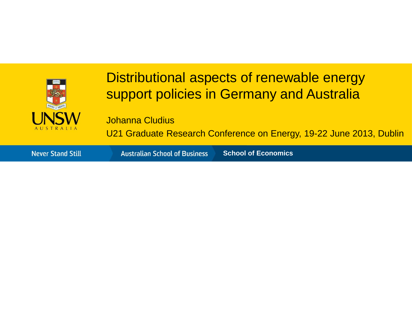

#### Distributional aspects of renewable energy support policies in Germany and Australia

Johanna Cludius

U21 Graduate Research Conference on Energy, 19-22 June 2013, Dublin

**Never Stand Still** 

**Australian School of Business School of Economics**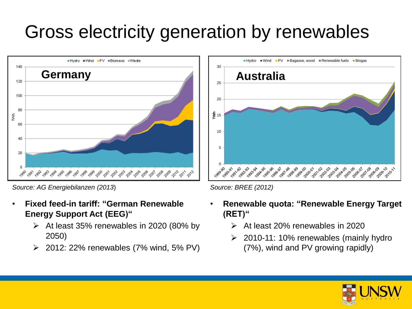# Gross electricity generation by renewables



*Source: AG Energiebilanzen (2013*) *Source: BREE (2012)*

- **Fixed feed-in tariff: "German Renewable Energy Support Act (EEG)"**
	- $\triangleright$  At least 35% renewables in 2020 (80% by 2050)
	- 2012: 22% renewables (7% wind, 5% PV)



- **Renewable quota: "Renewable Energy Target (RET)"**
	- At least 20% renewables in 2020
	- $\geq$  2010-11: 10% renewables (mainly hydro (7%), wind and PV growing rapidly)

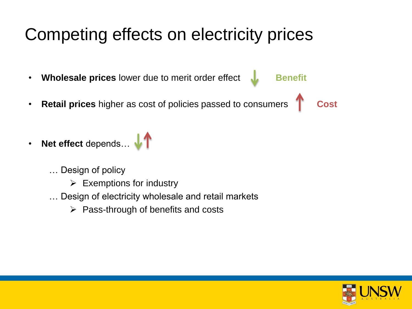## Competing effects on electricity prices

- **Wholesale prices** lower due to merit order effect **by Benefit**
- **Retail prices** higher as cost of policies passed to consumers **T** Cost
- **Net effect** depends... **\/** 
	- … Design of policy
		- $\triangleright$  Exemptions for industry
	- … Design of electricity wholesale and retail markets
		- $\triangleright$  Pass-through of benefits and costs

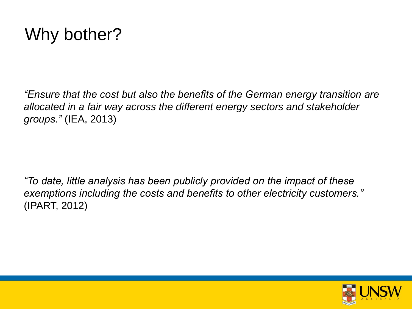#### Why bother?

*"Ensure that the cost but also the benefits of the German energy transition are allocated in a fair way across the different energy sectors and stakeholder groups."* (IEA, 2013)

*"To date, little analysis has been publicly provided on the impact of these exemptions including the costs and benefits to other electricity customers."*  (IPART, 2012)

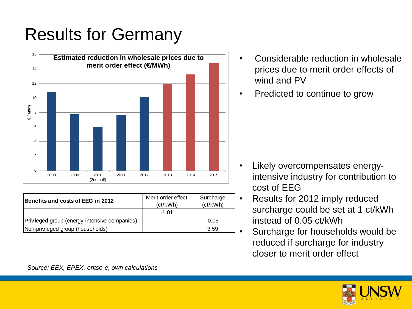# Results for Germany



| $\Omega$                                      |                      |           |
|-----------------------------------------------|----------------------|-----------|
| 2008<br>2009<br>2011<br>2010<br>(2nd half)    | 2012<br>2013<br>2014 | 2015      |
|                                               | Merit order effect   | Surcharge |
| Benefits and costs of EEG in 2012             | (ct/kWh)             | (ct/kWh)  |
|                                               | $-1.01$              |           |
| Privileged group (energy-intensive companies) |                      | 0.05      |
| Non-privileged group (households)             |                      | 3.59      |

- Considerable reduction in wholesale prices due to merit order effects of wind and PV
- Predicted to continue to grow

- Likely overcompensates energyintensive industry for contribution to cost of EEG
- Results for 2012 imply reduced surcharge could be set at 1 ct/kWh instead of 0.05 ct/kWh
- Surcharge for households would be reduced if surcharge for industry closer to merit order effect

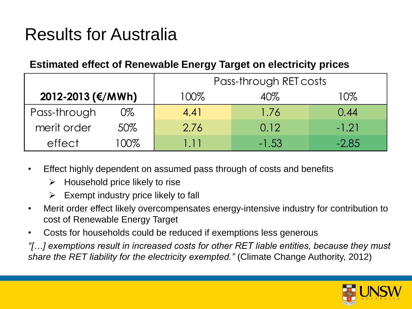## Results for Australia

#### **Estimated effect of Renewable Energy Target on electricity prices**

|                   |     | Pass-through RET costs |         |         |  |
|-------------------|-----|------------------------|---------|---------|--|
| 2012-2013 (€/MWh) |     | 100%                   | 40%     | 10%     |  |
| Pass-through      | 0%  | 4.41                   | 1.76    | 0.44    |  |
| merit order       | 50% | 2.76                   | 0.12    | $-1.21$ |  |
| effect            | 00% | 111                    | $-1.53$ | $-2.85$ |  |

- Effect highly dependent on assumed pass through of costs and benefits
	- $\triangleright$  Household price likely to rise
	- $\triangleright$  Exempt industry price likely to fall
- Merit order effect likely overcompensates energy-intensive industry for contribution to cost of Renewable Energy Target
- Costs for households could be reduced if exemptions less generous

*"[…] exemptions result in increased costs for other RET liable entities, because they must share the RET liability for the electricity exempted."* (Climate Change Authority, 2012)

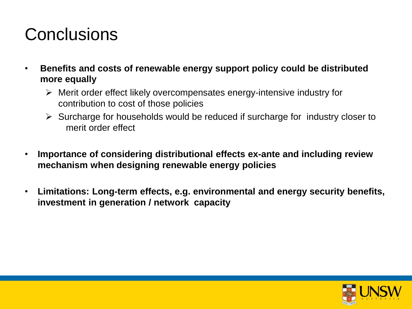#### **Conclusions**

- **Benefits and costs of renewable energy support policy could be distributed more equally**
	- $\triangleright$  Merit order effect likely overcompensates energy-intensive industry for contribution to cost of those policies
	- $\triangleright$  Surcharge for households would be reduced if surcharge for industry closer to merit order effect
- **Importance of considering distributional effects ex-ante and including review mechanism when designing renewable energy policies**
- **Limitations: Long-term effects, e.g. environmental and energy security benefits, investment in generation / network capacity**

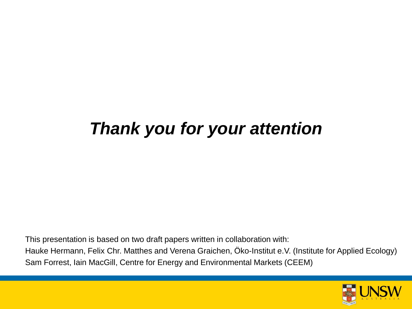### *Thank you for your attention*

This presentation is based on two draft papers written in collaboration with: Hauke Hermann, Felix Chr. Matthes and Verena Graichen, Öko-Institut e.V. (Institute for Applied Ecology) Sam Forrest, Iain MacGill, Centre for Energy and Environmental Markets (CEEM)